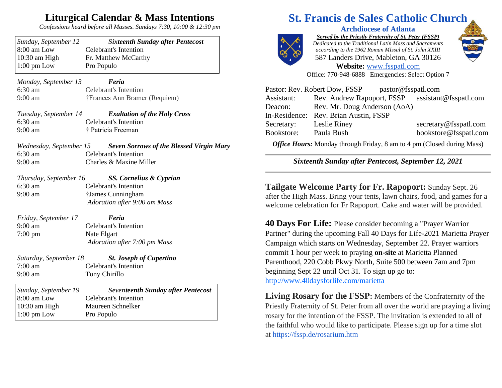## **Liturgical Calendar & Mass Intentions**

*Confessions heard before all Masses. Sundays 7:30, 10:00 & 12:30 pm*

| Sunday, September 12<br>8:00 am Low<br>10:30 am High | <b>Sixteenth Sunday after Pentecost</b><br><b>Celebrant's Intention</b><br>Fr. Matthew McCarthy |
|------------------------------------------------------|-------------------------------------------------------------------------------------------------|
| $1:00$ pm Low                                        | Pro Populo                                                                                      |
| Monday, September 13                                 | Feria                                                                                           |
| 6:30 am                                              | <b>Celebrant's Intention</b>                                                                    |
| $9:00$ am                                            | †Frances Ann Bramer (Requiem)                                                                   |
| Tuesday, September 14                                | <b>Exaltation of the Holy Cross</b>                                                             |
| 6:30 am                                              | <b>Celebrant's Intention</b>                                                                    |
| $9:00$ am                                            | † Patricia Freeman                                                                              |
| Wednesday, September 15                              | <b>Seven Sorrows of the Blessed Virgin Mary</b>                                                 |
| $6:30$ am                                            | <b>Celebrant's Intention</b>                                                                    |
| $9:00$ am                                            | Charles & Maxine Miller                                                                         |
| Thursday, September 16                               | SS. Cornelius & Cyprian                                                                         |
| $6:30$ am                                            | <b>Celebrant's Intention</b>                                                                    |
| $9:00$ am                                            | †James Cunningham                                                                               |
|                                                      | Adoration after 9:00 am Mass                                                                    |
| Friday, September 17                                 | Feria                                                                                           |
| $9:00 \text{ am}$                                    | <b>Celebrant's Intention</b>                                                                    |
| $7:00 \text{ pm}$                                    | Nate Elgart                                                                                     |
|                                                      | Adoration after 7:00 pm Mass                                                                    |
| Saturday, September 18                               | <b>St. Joseph of Cupertino</b>                                                                  |
| $7:00$ am                                            | <b>Celebrant's Intention</b>                                                                    |
| $9:00$ am                                            | <b>Tony Chirillo</b>                                                                            |
| Sunday, September 19                                 | <b>Seventeenth Sunday after Pentecost</b>                                                       |
| 8:00 am Low                                          | <b>Celebrant's Intention</b>                                                                    |
| 10:30 am High                                        | Maureen Schnelker                                                                               |
| $1:00$ pm Low                                        | Pro Populo                                                                                      |

## **St. Francis de Sales Catholic Church**

## **Archdiocese of Atlanta**



*Served by the Priestly Fraternity of St. Peter (FSSP) Dedicated to the Traditional Latin Mass and Sacraments according to the 1962 Roman MIssal of St. John XXIII* 587 Landers Drive, Mableton, GA 30126



**Website:** [www.fsspatl.com](http://www.fsspatl.com/) Office: 770-948-6888 Emergencies: Select Option 7

| Pastor: Rev. Robert Dow, FSSP<br>pastor@fsspatl.com |                                                  |                       |  |  |
|-----------------------------------------------------|--------------------------------------------------|-----------------------|--|--|
| Assistant:                                          | Rev. Andrew Rapoport, FSSP assistant@fsspatl.com |                       |  |  |
| Deacon:                                             | Rev. Mr. Doug Anderson (AoA)                     |                       |  |  |
|                                                     | In-Residence: Rev. Brian Austin, FSSP            |                       |  |  |
| Secretary:                                          | Leslie Riney                                     | secretary@fsspatl.com |  |  |
| Bookstore:                                          | Paula Bush                                       | bookstore@fsspatl.com |  |  |
|                                                     |                                                  |                       |  |  |

*Office Hours:* Monday through Friday, 8 am to 4 pm (Closed during Mass)

*Sixteenth Sunday after Pentecost, September 12, 2021*

**Tailgate Welcome Party for Fr. Rapoport:** Sunday Sept. 26 after the High Mass. Bring your tents, lawn chairs, food, and games for a welcome celebration for Fr Rapoport. Cake and water will be provided.

**40 Days For Life:** Please consider becoming a "Prayer Warrior Partner" during the upcoming Fall 40 Days for Life-2021 Marietta Prayer Campaign which starts on Wednesday, September 22. Prayer warriors commit 1 hour per week to praying **on-site** at Marietta Planned Parenthood, 220 Cobb Pkwy North, Suite 500 between 7am and 7pm beginning Sept 22 until Oct 31. To sign up go to: http://www.40daysforlife.com/marietta

**Living Rosary for the FSSP:** Members of the Confraternity of the Priestly Fraternity of St. Peter from all over the world are praying a living rosary for the intention of the FSSP. The invitation is extended to all of the faithful who would like to participate. Please sign up for a time slot at <https://fssp.de/rosarium.htm>